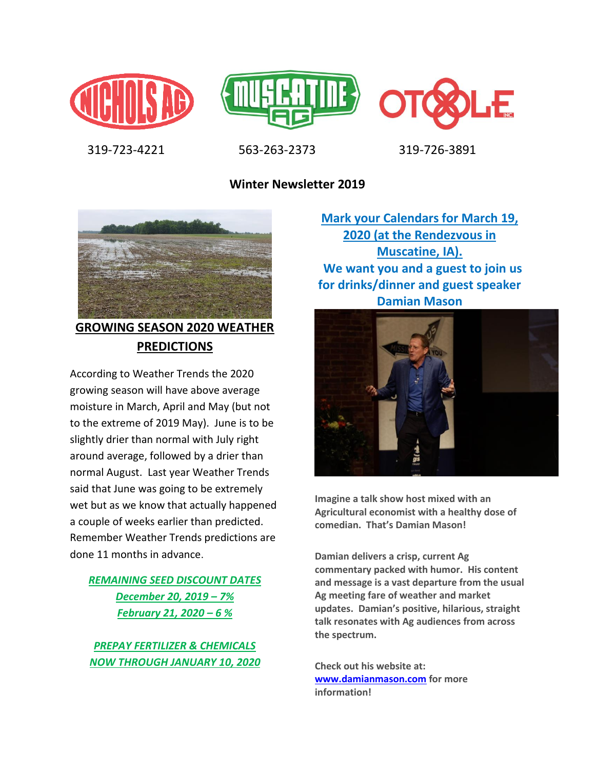





319-723-4221 563-263-2373 319-726-3891

**Winter Newsletter 2019**



# **GROWING SEASON 2020 WEATHER PREDICTIONS**

According to Weather Trends the 2020 growing season will have above average moisture in March, April and May (but not to the extreme of 2019 May). June is to be slightly drier than normal with July right around average, followed by a drier than normal August. Last year Weather Trends said that June was going to be extremely wet but as we know that actually happened a couple of weeks earlier than predicted. Remember Weather Trends predictions are done 11 months in advance.

### *REMAINING SEED DISCOUNT DATES December 20, 2019 – 7% February 21, 2020 – 6 %*

*PREPAY FERTILIZER & CHEMICALS NOW THROUGH JANUARY 10, 2020*

**Mark your Calendars for March 19, 2020 (at the Rendezvous in Muscatine, IA). We want you and a guest to join us for drinks/dinner and guest speaker Damian Mason** 



**Imagine a talk show host mixed with an Agricultural economist with a healthy dose of comedian. That's Damian Mason!**

**Damian delivers a crisp, current Ag commentary packed with humor. His content and message is a vast departure from the usual Ag meeting fare of weather and market updates. Damian's positive, hilarious, straight talk resonates with Ag audiences from across the spectrum.** 

**Check out his website at: [www.damianmason.com](http://www.damianmason.com/) for more information!**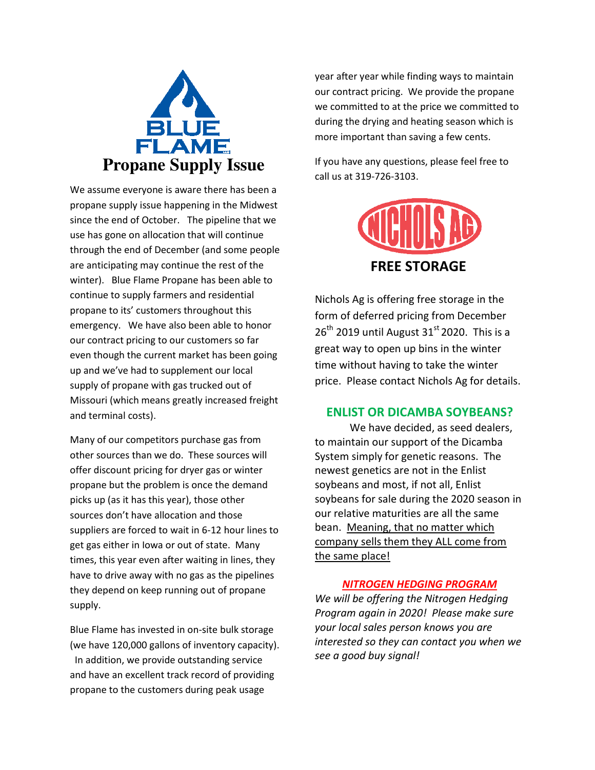

We assume everyone is aware there has been a propane supply issue happening in the Midwest since the end of October. The pipeline that we use has gone on allocation that will continue through the end of December (and some people are anticipating may continue the rest of the winter). Blue Flame Propane has been able to continue to supply farmers and residential propane to its' customers throughout this emergency. We have also been able to honor our contract pricing to our customers so far even though the current market has been going up and we've had to supplement our local supply of propane with gas trucked out of Missouri (which means greatly increased freight and terminal costs).

Many of our competitors purchase gas from other sources than we do. These sources will offer discount pricing for dryer gas or winter propane but the problem is once the demand picks up (as it has this year), those other sources don't have allocation and those suppliers are forced to wait in 6-12 hour lines to get gas either in Iowa or out of state. Many times, this year even after waiting in lines, they have to drive away with no gas as the pipelines they depend on keep running out of propane supply.

Blue Flame has invested in on-site bulk storage (we have 120,000 gallons of inventory capacity). In addition, we provide outstanding service and have an excellent track record of providing propane to the customers during peak usage

year after year while finding ways to maintain our contract pricing. We provide the propane we committed to at the price we committed to during the drying and heating season which is more important than saving a few cents.

If you have any questions, please feel free to call us at 319-726-3103.



Nichols Ag is offering free storage in the form of deferred pricing from December  $26<sup>th</sup>$  2019 until August 31<sup>st</sup> 2020. This is a great way to open up bins in the winter time without having to take the winter price. Please contact Nichols Ag for details.

### **ENLIST OR DICAMBA SOYBEANS?**

We have decided, as seed dealers, to maintain our support of the Dicamba System simply for genetic reasons. The newest genetics are not in the Enlist soybeans and most, if not all, Enlist soybeans for sale during the 2020 season in our relative maturities are all the same bean. Meaning, that no matter which company sells them they ALL come from the same place!

#### *NITROGEN HEDGING PROGRAM*

*We will be offering the Nitrogen Hedging Program again in 2020! Please make sure your local sales person knows you are interested so they can contact you when we see a good buy signal!*